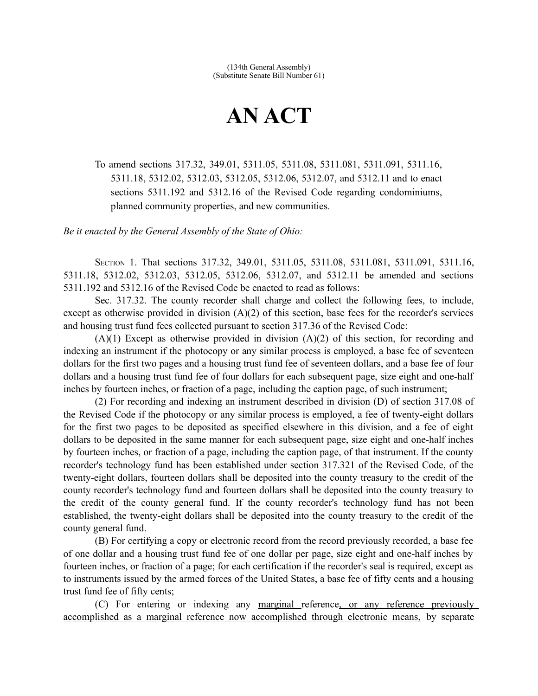## **AN ACT**

To amend sections 317.32, 349.01, 5311.05, 5311.08, 5311.081, 5311.091, 5311.16, 5311.18, 5312.02, 5312.03, 5312.05, 5312.06, 5312.07, and 5312.11 and to enact sections 5311.192 and 5312.16 of the Revised Code regarding condominiums, planned community properties, and new communities.

*Be it enacted by the General Assembly of the State of Ohio:*

SECTION 1. That sections 317.32, 349.01, 5311.05, 5311.08, 5311.081, 5311.091, 5311.16, 5311.18, 5312.02, 5312.03, 5312.05, 5312.06, 5312.07, and 5312.11 be amended and sections 5311.192 and 5312.16 of the Revised Code be enacted to read as follows:

Sec. 317.32. The county recorder shall charge and collect the following fees, to include, except as otherwise provided in division (A)(2) of this section, base fees for the recorder's services and housing trust fund fees collected pursuant to section 317.36 of the Revised Code:

(A)(1) Except as otherwise provided in division (A)(2) of this section, for recording and indexing an instrument if the photocopy or any similar process is employed, a base fee of seventeen dollars for the first two pages and a housing trust fund fee of seventeen dollars, and a base fee of four dollars and a housing trust fund fee of four dollars for each subsequent page, size eight and one-half inches by fourteen inches, or fraction of a page, including the caption page, of such instrument;

(2) For recording and indexing an instrument described in division (D) of section 317.08 of the Revised Code if the photocopy or any similar process is employed, a fee of twenty-eight dollars for the first two pages to be deposited as specified elsewhere in this division, and a fee of eight dollars to be deposited in the same manner for each subsequent page, size eight and one-half inches by fourteen inches, or fraction of a page, including the caption page, of that instrument. If the county recorder's technology fund has been established under section 317.321 of the Revised Code, of the twenty-eight dollars, fourteen dollars shall be deposited into the county treasury to the credit of the county recorder's technology fund and fourteen dollars shall be deposited into the county treasury to the credit of the county general fund. If the county recorder's technology fund has not been established, the twenty-eight dollars shall be deposited into the county treasury to the credit of the county general fund.

(B) For certifying a copy or electronic record from the record previously recorded, a base fee of one dollar and a housing trust fund fee of one dollar per page, size eight and one-half inches by fourteen inches, or fraction of a page; for each certification if the recorder's seal is required, except as to instruments issued by the armed forces of the United States, a base fee of fifty cents and a housing trust fund fee of fifty cents;

(C) For entering or indexing any marginal reference, or any reference previously accomplished as a marginal reference now accomplished through electronic means, by separate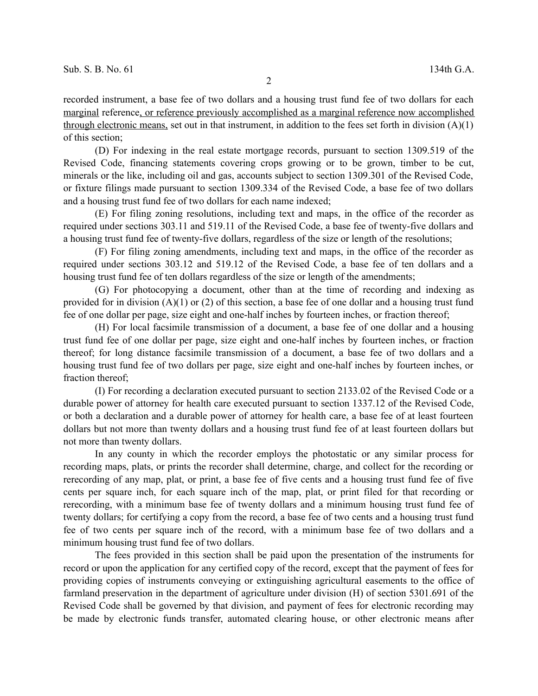recorded instrument, a base fee of two dollars and a housing trust fund fee of two dollars for each marginal reference, or reference previously accomplished as a marginal reference now accomplished through electronic means, set out in that instrument, in addition to the fees set forth in division  $(A)(1)$ of this section;

(D) For indexing in the real estate mortgage records, pursuant to section 1309.519 of the Revised Code, financing statements covering crops growing or to be grown, timber to be cut, minerals or the like, including oil and gas, accounts subject to section 1309.301 of the Revised Code, or fixture filings made pursuant to section 1309.334 of the Revised Code, a base fee of two dollars and a housing trust fund fee of two dollars for each name indexed;

(E) For filing zoning resolutions, including text and maps, in the office of the recorder as required under sections 303.11 and 519.11 of the Revised Code, a base fee of twenty-five dollars and a housing trust fund fee of twenty-five dollars, regardless of the size or length of the resolutions;

(F) For filing zoning amendments, including text and maps, in the office of the recorder as required under sections 303.12 and 519.12 of the Revised Code, a base fee of ten dollars and a housing trust fund fee of ten dollars regardless of the size or length of the amendments;

(G) For photocopying a document, other than at the time of recording and indexing as provided for in division (A)(1) or (2) of this section, a base fee of one dollar and a housing trust fund fee of one dollar per page, size eight and one-half inches by fourteen inches, or fraction thereof;

(H) For local facsimile transmission of a document, a base fee of one dollar and a housing trust fund fee of one dollar per page, size eight and one-half inches by fourteen inches, or fraction thereof; for long distance facsimile transmission of a document, a base fee of two dollars and a housing trust fund fee of two dollars per page, size eight and one-half inches by fourteen inches, or fraction thereof;

(I) For recording a declaration executed pursuant to section 2133.02 of the Revised Code or a durable power of attorney for health care executed pursuant to section 1337.12 of the Revised Code, or both a declaration and a durable power of attorney for health care, a base fee of at least fourteen dollars but not more than twenty dollars and a housing trust fund fee of at least fourteen dollars but not more than twenty dollars.

In any county in which the recorder employs the photostatic or any similar process for recording maps, plats, or prints the recorder shall determine, charge, and collect for the recording or rerecording of any map, plat, or print, a base fee of five cents and a housing trust fund fee of five cents per square inch, for each square inch of the map, plat, or print filed for that recording or rerecording, with a minimum base fee of twenty dollars and a minimum housing trust fund fee of twenty dollars; for certifying a copy from the record, a base fee of two cents and a housing trust fund fee of two cents per square inch of the record, with a minimum base fee of two dollars and a minimum housing trust fund fee of two dollars.

The fees provided in this section shall be paid upon the presentation of the instruments for record or upon the application for any certified copy of the record, except that the payment of fees for providing copies of instruments conveying or extinguishing agricultural easements to the office of farmland preservation in the department of agriculture under division (H) of section 5301.691 of the Revised Code shall be governed by that division, and payment of fees for electronic recording may be made by electronic funds transfer, automated clearing house, or other electronic means after

2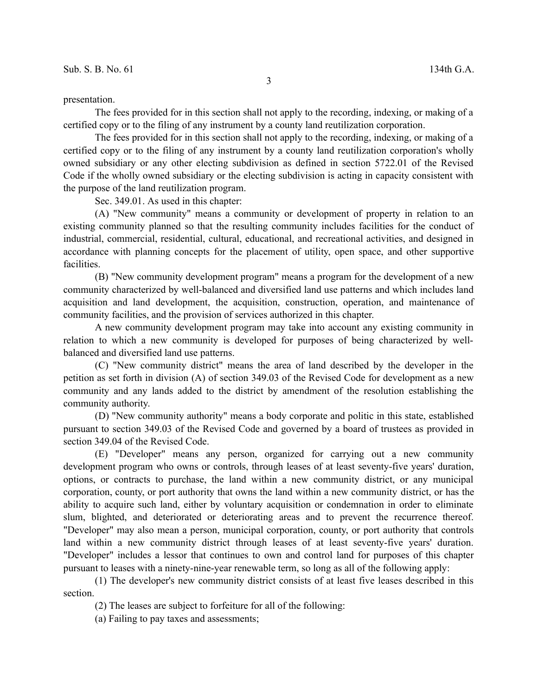## presentation.

The fees provided for in this section shall not apply to the recording, indexing, or making of a certified copy or to the filing of any instrument by a county land reutilization corporation.

The fees provided for in this section shall not apply to the recording, indexing, or making of a certified copy or to the filing of any instrument by a county land reutilization corporation's wholly owned subsidiary or any other electing subdivision as defined in section 5722.01 of the Revised Code if the wholly owned subsidiary or the electing subdivision is acting in capacity consistent with the purpose of the land reutilization program.

Sec. 349.01. As used in this chapter:

(A) "New community" means a community or development of property in relation to an existing community planned so that the resulting community includes facilities for the conduct of industrial, commercial, residential, cultural, educational, and recreational activities, and designed in accordance with planning concepts for the placement of utility, open space, and other supportive facilities.

(B) "New community development program" means a program for the development of a new community characterized by well-balanced and diversified land use patterns and which includes land acquisition and land development, the acquisition, construction, operation, and maintenance of community facilities, and the provision of services authorized in this chapter.

A new community development program may take into account any existing community in relation to which a new community is developed for purposes of being characterized by wellbalanced and diversified land use patterns.

(C) "New community district" means the area of land described by the developer in the petition as set forth in division (A) of section 349.03 of the Revised Code for development as a new community and any lands added to the district by amendment of the resolution establishing the community authority.

(D) "New community authority" means a body corporate and politic in this state, established pursuant to section 349.03 of the Revised Code and governed by a board of trustees as provided in section 349.04 of the Revised Code.

(E) "Developer" means any person, organized for carrying out a new community development program who owns or controls, through leases of at least seventy-five years' duration, options, or contracts to purchase, the land within a new community district, or any municipal corporation, county, or port authority that owns the land within a new community district, or has the ability to acquire such land, either by voluntary acquisition or condemnation in order to eliminate slum, blighted, and deteriorated or deteriorating areas and to prevent the recurrence thereof. "Developer" may also mean a person, municipal corporation, county, or port authority that controls land within a new community district through leases of at least seventy-five years' duration. "Developer" includes a lessor that continues to own and control land for purposes of this chapter pursuant to leases with a ninety-nine-year renewable term, so long as all of the following apply:

(1) The developer's new community district consists of at least five leases described in this section.

(2) The leases are subject to forfeiture for all of the following:

(a) Failing to pay taxes and assessments;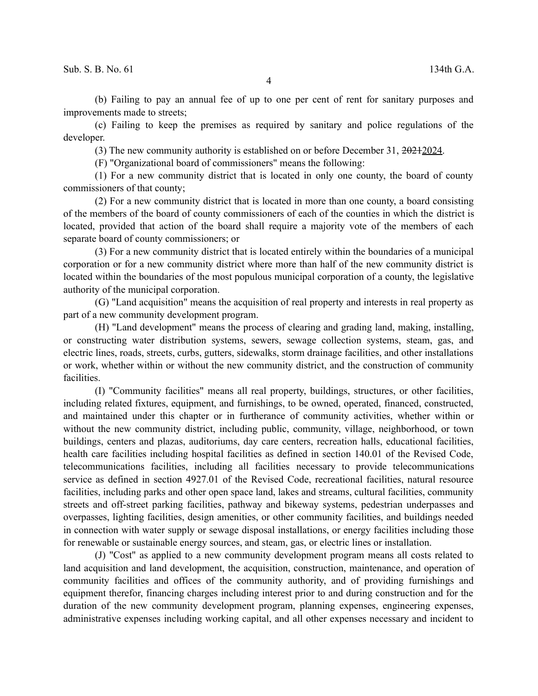(b) Failing to pay an annual fee of up to one per cent of rent for sanitary purposes and improvements made to streets;

(c) Failing to keep the premises as required by sanitary and police regulations of the developer.

(3) The new community authority is established on or before December 31, 20212024.

(F) "Organizational board of commissioners" means the following:

(1) For a new community district that is located in only one county, the board of county commissioners of that county;

(2) For a new community district that is located in more than one county, a board consisting of the members of the board of county commissioners of each of the counties in which the district is located, provided that action of the board shall require a majority vote of the members of each separate board of county commissioners; or

(3) For a new community district that is located entirely within the boundaries of a municipal corporation or for a new community district where more than half of the new community district is located within the boundaries of the most populous municipal corporation of a county, the legislative authority of the municipal corporation.

(G) "Land acquisition" means the acquisition of real property and interests in real property as part of a new community development program.

(H) "Land development" means the process of clearing and grading land, making, installing, or constructing water distribution systems, sewers, sewage collection systems, steam, gas, and electric lines, roads, streets, curbs, gutters, sidewalks, storm drainage facilities, and other installations or work, whether within or without the new community district, and the construction of community facilities.

(I) "Community facilities" means all real property, buildings, structures, or other facilities, including related fixtures, equipment, and furnishings, to be owned, operated, financed, constructed, and maintained under this chapter or in furtherance of community activities, whether within or without the new community district, including public, community, village, neighborhood, or town buildings, centers and plazas, auditoriums, day care centers, recreation halls, educational facilities, health care facilities including hospital facilities as defined in section 140.01 of the Revised Code, telecommunications facilities, including all facilities necessary to provide telecommunications service as defined in section 4927.01 of the Revised Code, recreational facilities, natural resource facilities, including parks and other open space land, lakes and streams, cultural facilities, community streets and off-street parking facilities, pathway and bikeway systems, pedestrian underpasses and overpasses, lighting facilities, design amenities, or other community facilities, and buildings needed in connection with water supply or sewage disposal installations, or energy facilities including those for renewable or sustainable energy sources, and steam, gas, or electric lines or installation.

(J) "Cost" as applied to a new community development program means all costs related to land acquisition and land development, the acquisition, construction, maintenance, and operation of community facilities and offices of the community authority, and of providing furnishings and equipment therefor, financing charges including interest prior to and during construction and for the duration of the new community development program, planning expenses, engineering expenses, administrative expenses including working capital, and all other expenses necessary and incident to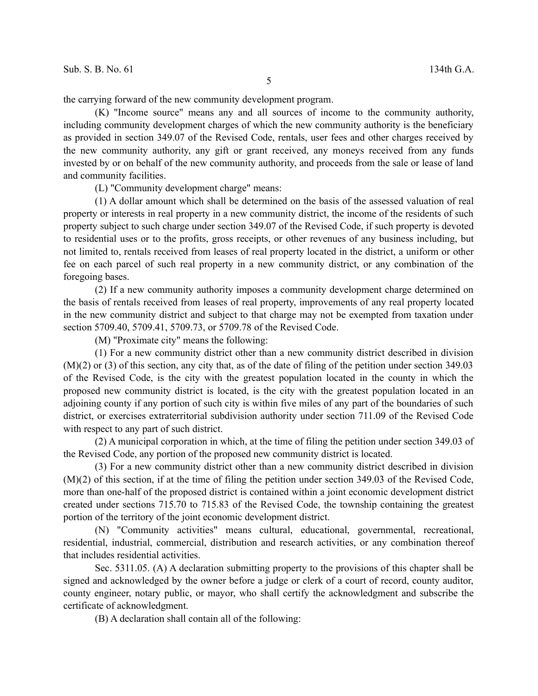the carrying forward of the new community development program.

(K) "Income source" means any and all sources of income to the community authority, including community development charges of which the new community authority is the beneficiary as provided in section 349.07 of the Revised Code, rentals, user fees and other charges received by the new community authority, any gift or grant received, any moneys received from any funds invested by or on behalf of the new community authority, and proceeds from the sale or lease of land and community facilities.

(L) "Community development charge" means:

(1) A dollar amount which shall be determined on the basis of the assessed valuation of real property or interests in real property in a new community district, the income of the residents of such property subject to such charge under section 349.07 of the Revised Code, if such property is devoted to residential uses or to the profits, gross receipts, or other revenues of any business including, but not limited to, rentals received from leases of real property located in the district, a uniform or other fee on each parcel of such real property in a new community district, or any combination of the foregoing bases.

(2) If a new community authority imposes a community development charge determined on the basis of rentals received from leases of real property, improvements of any real property located in the new community district and subject to that charge may not be exempted from taxation under section 5709.40, 5709.41, 5709.73, or 5709.78 of the Revised Code.

(M) "Proximate city" means the following:

(1) For a new community district other than a new community district described in division (M)(2) or (3) of this section, any city that, as of the date of filing of the petition under section 349.03 of the Revised Code, is the city with the greatest population located in the county in which the proposed new community district is located, is the city with the greatest population located in an adjoining county if any portion of such city is within five miles of any part of the boundaries of such district, or exercises extraterritorial subdivision authority under section 711.09 of the Revised Code with respect to any part of such district.

(2) A municipal corporation in which, at the time of filing the petition under section 349.03 of the Revised Code, any portion of the proposed new community district is located.

(3) For a new community district other than a new community district described in division (M)(2) of this section, if at the time of filing the petition under section 349.03 of the Revised Code, more than one-half of the proposed district is contained within a joint economic development district created under sections 715.70 to 715.83 of the Revised Code, the township containing the greatest portion of the territory of the joint economic development district.

(N) "Community activities" means cultural, educational, governmental, recreational, residential, industrial, commercial, distribution and research activities, or any combination thereof that includes residential activities.

Sec. 5311.05. (A) A declaration submitting property to the provisions of this chapter shall be signed and acknowledged by the owner before a judge or clerk of a court of record, county auditor, county engineer, notary public, or mayor, who shall certify the acknowledgment and subscribe the certificate of acknowledgment.

(B) A declaration shall contain all of the following: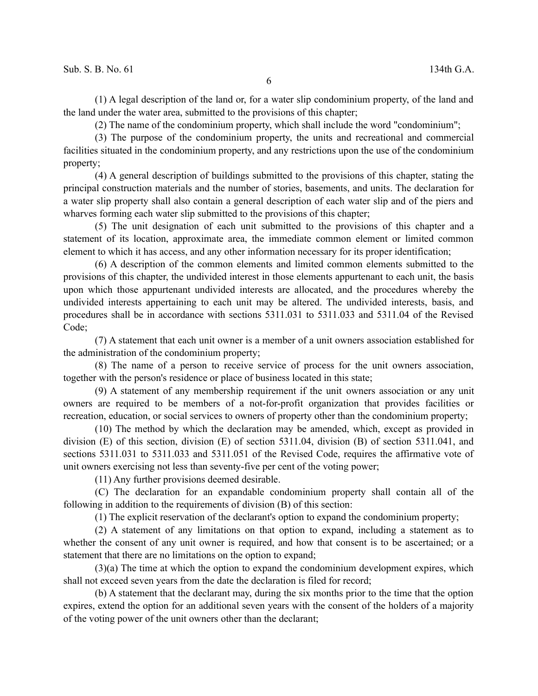(1) A legal description of the land or, for a water slip condominium property, of the land and the land under the water area, submitted to the provisions of this chapter;

(2) The name of the condominium property, which shall include the word "condominium";

(3) The purpose of the condominium property, the units and recreational and commercial facilities situated in the condominium property, and any restrictions upon the use of the condominium property;

(4) A general description of buildings submitted to the provisions of this chapter, stating the principal construction materials and the number of stories, basements, and units. The declaration for a water slip property shall also contain a general description of each water slip and of the piers and wharves forming each water slip submitted to the provisions of this chapter;

(5) The unit designation of each unit submitted to the provisions of this chapter and a statement of its location, approximate area, the immediate common element or limited common element to which it has access, and any other information necessary for its proper identification;

(6) A description of the common elements and limited common elements submitted to the provisions of this chapter, the undivided interest in those elements appurtenant to each unit, the basis upon which those appurtenant undivided interests are allocated, and the procedures whereby the undivided interests appertaining to each unit may be altered. The undivided interests, basis, and procedures shall be in accordance with sections 5311.031 to 5311.033 and 5311.04 of the Revised Code;

(7) A statement that each unit owner is a member of a unit owners association established for the administration of the condominium property;

(8) The name of a person to receive service of process for the unit owners association, together with the person's residence or place of business located in this state;

(9) A statement of any membership requirement if the unit owners association or any unit owners are required to be members of a not-for-profit organization that provides facilities or recreation, education, or social services to owners of property other than the condominium property;

(10) The method by which the declaration may be amended, which, except as provided in division (E) of this section, division (E) of section 5311.04, division (B) of section 5311.041, and sections 5311.031 to 5311.033 and 5311.051 of the Revised Code, requires the affirmative vote of unit owners exercising not less than seventy-five per cent of the voting power;

(11) Any further provisions deemed desirable.

(C) The declaration for an expandable condominium property shall contain all of the following in addition to the requirements of division (B) of this section:

(1) The explicit reservation of the declarant's option to expand the condominium property;

(2) A statement of any limitations on that option to expand, including a statement as to whether the consent of any unit owner is required, and how that consent is to be ascertained; or a statement that there are no limitations on the option to expand;

(3)(a) The time at which the option to expand the condominium development expires, which shall not exceed seven years from the date the declaration is filed for record;

(b) A statement that the declarant may, during the six months prior to the time that the option expires, extend the option for an additional seven years with the consent of the holders of a majority of the voting power of the unit owners other than the declarant;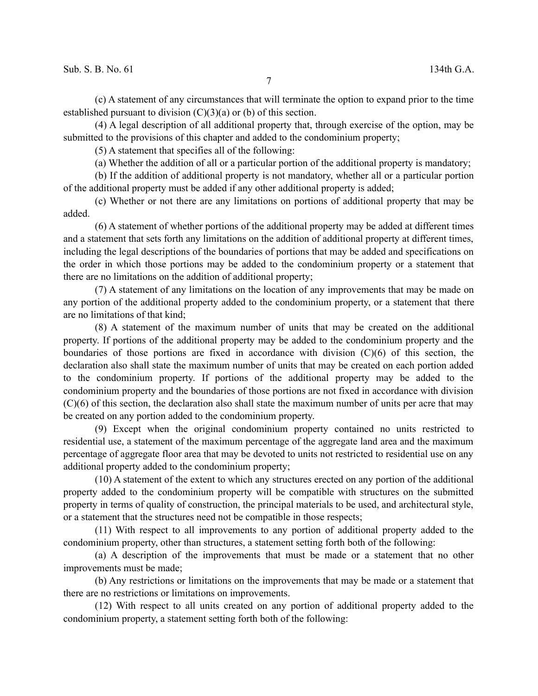7

(c) A statement of any circumstances that will terminate the option to expand prior to the time established pursuant to division (C)(3)(a) or (b) of this section.

(4) A legal description of all additional property that, through exercise of the option, may be submitted to the provisions of this chapter and added to the condominium property;

(5) A statement that specifies all of the following:

(a) Whether the addition of all or a particular portion of the additional property is mandatory;

(b) If the addition of additional property is not mandatory, whether all or a particular portion of the additional property must be added if any other additional property is added;

(c) Whether or not there are any limitations on portions of additional property that may be added.

(6) A statement of whether portions of the additional property may be added at different times and a statement that sets forth any limitations on the addition of additional property at different times, including the legal descriptions of the boundaries of portions that may be added and specifications on the order in which those portions may be added to the condominium property or a statement that there are no limitations on the addition of additional property;

(7) A statement of any limitations on the location of any improvements that may be made on any portion of the additional property added to the condominium property, or a statement that there are no limitations of that kind;

(8) A statement of the maximum number of units that may be created on the additional property. If portions of the additional property may be added to the condominium property and the boundaries of those portions are fixed in accordance with division (C)(6) of this section, the declaration also shall state the maximum number of units that may be created on each portion added to the condominium property. If portions of the additional property may be added to the condominium property and the boundaries of those portions are not fixed in accordance with division (C)(6) of this section, the declaration also shall state the maximum number of units per acre that may be created on any portion added to the condominium property.

(9) Except when the original condominium property contained no units restricted to residential use, a statement of the maximum percentage of the aggregate land area and the maximum percentage of aggregate floor area that may be devoted to units not restricted to residential use on any additional property added to the condominium property;

(10) A statement of the extent to which any structures erected on any portion of the additional property added to the condominium property will be compatible with structures on the submitted property in terms of quality of construction, the principal materials to be used, and architectural style, or a statement that the structures need not be compatible in those respects;

(11) With respect to all improvements to any portion of additional property added to the condominium property, other than structures, a statement setting forth both of the following:

(a) A description of the improvements that must be made or a statement that no other improvements must be made;

(b) Any restrictions or limitations on the improvements that may be made or a statement that there are no restrictions or limitations on improvements.

(12) With respect to all units created on any portion of additional property added to the condominium property, a statement setting forth both of the following: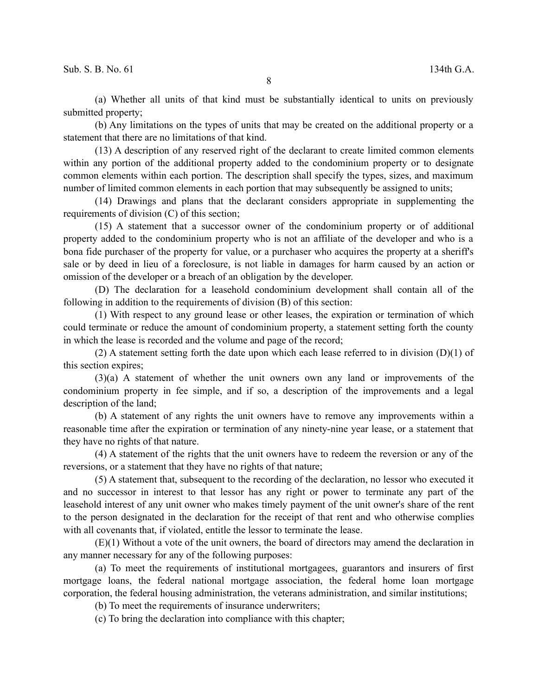(a) Whether all units of that kind must be substantially identical to units on previously submitted property;

(b) Any limitations on the types of units that may be created on the additional property or a statement that there are no limitations of that kind.

(13) A description of any reserved right of the declarant to create limited common elements within any portion of the additional property added to the condominium property or to designate common elements within each portion. The description shall specify the types, sizes, and maximum number of limited common elements in each portion that may subsequently be assigned to units;

(14) Drawings and plans that the declarant considers appropriate in supplementing the requirements of division (C) of this section;

(15) A statement that a successor owner of the condominium property or of additional property added to the condominium property who is not an affiliate of the developer and who is a bona fide purchaser of the property for value, or a purchaser who acquires the property at a sheriff's sale or by deed in lieu of a foreclosure, is not liable in damages for harm caused by an action or omission of the developer or a breach of an obligation by the developer.

(D) The declaration for a leasehold condominium development shall contain all of the following in addition to the requirements of division (B) of this section:

(1) With respect to any ground lease or other leases, the expiration or termination of which could terminate or reduce the amount of condominium property, a statement setting forth the county in which the lease is recorded and the volume and page of the record;

(2) A statement setting forth the date upon which each lease referred to in division  $(D)(1)$  of this section expires;

(3)(a) A statement of whether the unit owners own any land or improvements of the condominium property in fee simple, and if so, a description of the improvements and a legal description of the land;

(b) A statement of any rights the unit owners have to remove any improvements within a reasonable time after the expiration or termination of any ninety-nine year lease, or a statement that they have no rights of that nature.

(4) A statement of the rights that the unit owners have to redeem the reversion or any of the reversions, or a statement that they have no rights of that nature;

(5) A statement that, subsequent to the recording of the declaration, no lessor who executed it and no successor in interest to that lessor has any right or power to terminate any part of the leasehold interest of any unit owner who makes timely payment of the unit owner's share of the rent to the person designated in the declaration for the receipt of that rent and who otherwise complies with all covenants that, if violated, entitle the lessor to terminate the lease.

(E)(1) Without a vote of the unit owners, the board of directors may amend the declaration in any manner necessary for any of the following purposes:

(a) To meet the requirements of institutional mortgagees, guarantors and insurers of first mortgage loans, the federal national mortgage association, the federal home loan mortgage corporation, the federal housing administration, the veterans administration, and similar institutions;

(b) To meet the requirements of insurance underwriters;

(c) To bring the declaration into compliance with this chapter;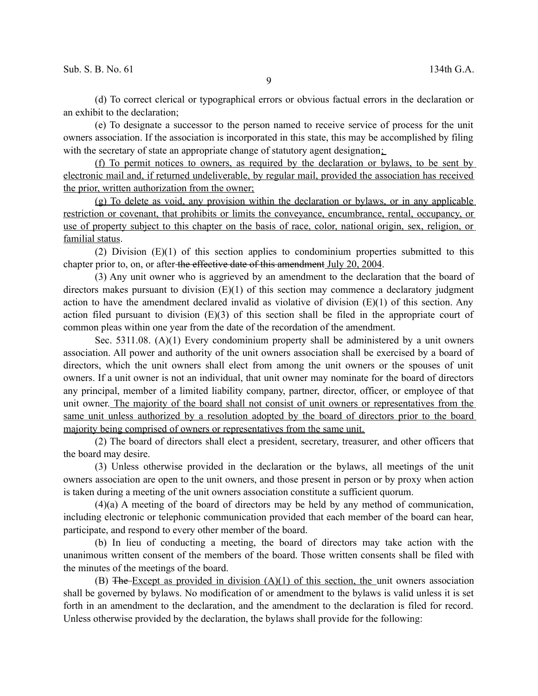(d) To correct clerical or typographical errors or obvious factual errors in the declaration or an exhibit to the declaration;

(e) To designate a successor to the person named to receive service of process for the unit owners association. If the association is incorporated in this state, this may be accomplished by filing with the secretary of state an appropriate change of statutory agent designation;

(f) To permit notices to owners, as required by the declaration or bylaws, to be sent by electronic mail and, if returned undeliverable, by regular mail, provided the association has received the prior, written authorization from the owner;

(g) To delete as void, any provision within the declaration or bylaws, or in any applicable restriction or covenant, that prohibits or limits the conveyance, encumbrance, rental, occupancy, or use of property subject to this chapter on the basis of race, color, national origin, sex, religion, or familial status.

(2) Division  $(E)(1)$  of this section applies to condominium properties submitted to this chapter prior to, on, or after the effective date of this amendment July 20, 2004.

(3) Any unit owner who is aggrieved by an amendment to the declaration that the board of directors makes pursuant to division (E)(1) of this section may commence a declaratory judgment action to have the amendment declared invalid as violative of division  $(E)(1)$  of this section. Any action filed pursuant to division (E)(3) of this section shall be filed in the appropriate court of common pleas within one year from the date of the recordation of the amendment.

Sec. 5311.08. (A)(1) Every condominium property shall be administered by a unit owners association. All power and authority of the unit owners association shall be exercised by a board of directors, which the unit owners shall elect from among the unit owners or the spouses of unit owners. If a unit owner is not an individual, that unit owner may nominate for the board of directors any principal, member of a limited liability company, partner, director, officer, or employee of that unit owner. The majority of the board shall not consist of unit owners or representatives from the same unit unless authorized by a resolution adopted by the board of directors prior to the board majority being comprised of owners or representatives from the same unit.

(2) The board of directors shall elect a president, secretary, treasurer, and other officers that the board may desire.

(3) Unless otherwise provided in the declaration or the bylaws, all meetings of the unit owners association are open to the unit owners, and those present in person or by proxy when action is taken during a meeting of the unit owners association constitute a sufficient quorum.

(4)(a) A meeting of the board of directors may be held by any method of communication, including electronic or telephonic communication provided that each member of the board can hear, participate, and respond to every other member of the board.

(b) In lieu of conducting a meeting, the board of directors may take action with the unanimous written consent of the members of the board. Those written consents shall be filed with the minutes of the meetings of the board.

(B) The Except as provided in division  $(A)(1)$  of this section, the unit owners association shall be governed by bylaws. No modification of or amendment to the bylaws is valid unless it is set forth in an amendment to the declaration, and the amendment to the declaration is filed for record. Unless otherwise provided by the declaration, the bylaws shall provide for the following: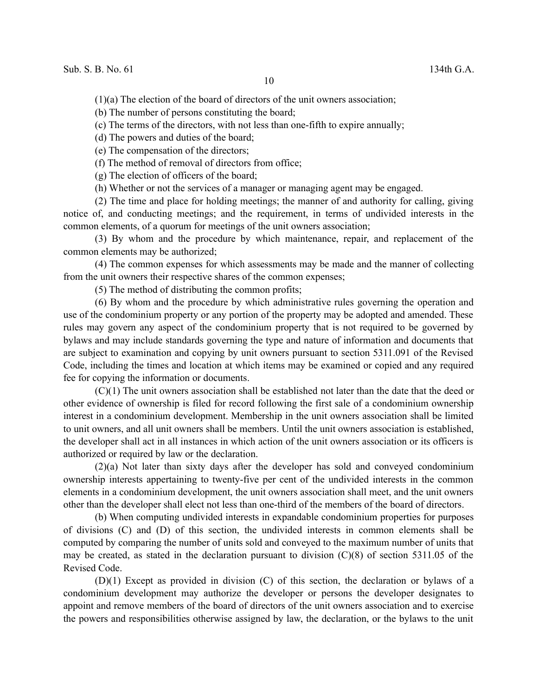(1)(a) The election of the board of directors of the unit owners association;

(b) The number of persons constituting the board;

(c) The terms of the directors, with not less than one-fifth to expire annually;

(d) The powers and duties of the board;

(e) The compensation of the directors;

(f) The method of removal of directors from office;

(g) The election of officers of the board;

(h) Whether or not the services of a manager or managing agent may be engaged.

(2) The time and place for holding meetings; the manner of and authority for calling, giving notice of, and conducting meetings; and the requirement, in terms of undivided interests in the common elements, of a quorum for meetings of the unit owners association;

(3) By whom and the procedure by which maintenance, repair, and replacement of the common elements may be authorized;

(4) The common expenses for which assessments may be made and the manner of collecting from the unit owners their respective shares of the common expenses;

(5) The method of distributing the common profits;

(6) By whom and the procedure by which administrative rules governing the operation and use of the condominium property or any portion of the property may be adopted and amended. These rules may govern any aspect of the condominium property that is not required to be governed by bylaws and may include standards governing the type and nature of information and documents that are subject to examination and copying by unit owners pursuant to section 5311.091 of the Revised Code, including the times and location at which items may be examined or copied and any required fee for copying the information or documents.

(C)(1) The unit owners association shall be established not later than the date that the deed or other evidence of ownership is filed for record following the first sale of a condominium ownership interest in a condominium development. Membership in the unit owners association shall be limited to unit owners, and all unit owners shall be members. Until the unit owners association is established, the developer shall act in all instances in which action of the unit owners association or its officers is authorized or required by law or the declaration.

(2)(a) Not later than sixty days after the developer has sold and conveyed condominium ownership interests appertaining to twenty-five per cent of the undivided interests in the common elements in a condominium development, the unit owners association shall meet, and the unit owners other than the developer shall elect not less than one-third of the members of the board of directors.

(b) When computing undivided interests in expandable condominium properties for purposes of divisions (C) and (D) of this section, the undivided interests in common elements shall be computed by comparing the number of units sold and conveyed to the maximum number of units that may be created, as stated in the declaration pursuant to division  $(C)(8)$  of section 5311.05 of the Revised Code.

(D)(1) Except as provided in division (C) of this section, the declaration or bylaws of a condominium development may authorize the developer or persons the developer designates to appoint and remove members of the board of directors of the unit owners association and to exercise the powers and responsibilities otherwise assigned by law, the declaration, or the bylaws to the unit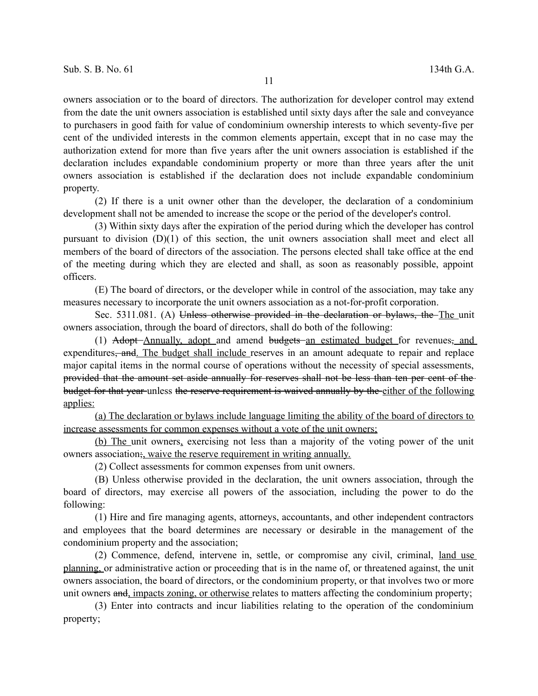owners association or to the board of directors. The authorization for developer control may extend from the date the unit owners association is established until sixty days after the sale and conveyance to purchasers in good faith for value of condominium ownership interests to which seventy-five per cent of the undivided interests in the common elements appertain, except that in no case may the authorization extend for more than five years after the unit owners association is established if the declaration includes expandable condominium property or more than three years after the unit owners association is established if the declaration does not include expandable condominium property.

(2) If there is a unit owner other than the developer, the declaration of a condominium development shall not be amended to increase the scope or the period of the developer's control.

(3) Within sixty days after the expiration of the period during which the developer has control pursuant to division (D)(1) of this section, the unit owners association shall meet and elect all members of the board of directors of the association. The persons elected shall take office at the end of the meeting during which they are elected and shall, as soon as reasonably possible, appoint officers.

(E) The board of directors, or the developer while in control of the association, may take any measures necessary to incorporate the unit owners association as a not-for-profit corporation.

Sec. 5311.081. (A) Unless otherwise provided in the declaration or bylaws, the The unit owners association, through the board of directors, shall do both of the following:

(1)  $\overrightarrow{Adopt}$ -Annually, adopt and amend budgets an estimated budget for revenues, and expenditures<del>, and</del>. The budget shall include reserves in an amount adequate to repair and replace major capital items in the normal course of operations without the necessity of special assessments, provided that the amount set aside annually for reserves shall not be less than ten per cent of the budget for that year unless the reserve requirement is waived annually by the either of the following applies:

(a) The declaration or bylaws include language limiting the ability of the board of directors to increase assessments for common expenses without a vote of the unit owners;

(b) The unit owners, exercising not less than a majority of the voting power of the unit owners association;, waive the reserve requirement in writing annually.

(2) Collect assessments for common expenses from unit owners.

(B) Unless otherwise provided in the declaration, the unit owners association, through the board of directors, may exercise all powers of the association, including the power to do the following:

(1) Hire and fire managing agents, attorneys, accountants, and other independent contractors and employees that the board determines are necessary or desirable in the management of the condominium property and the association;

(2) Commence, defend, intervene in, settle, or compromise any civil, criminal, land use planning, or administrative action or proceeding that is in the name of, or threatened against, the unit owners association, the board of directors, or the condominium property, or that involves two or more unit owners and, impacts zoning, or otherwise relates to matters affecting the condominium property;

(3) Enter into contracts and incur liabilities relating to the operation of the condominium property;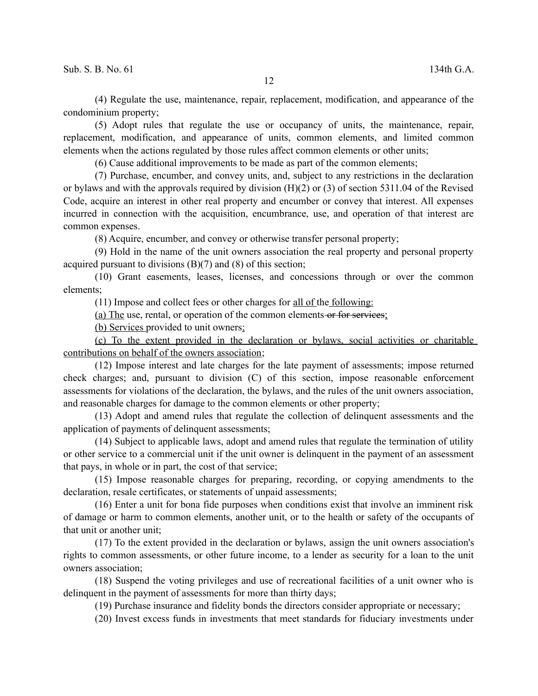(4) Regulate the use, maintenance, repair, replacement, modification, and appearance of the condominium property;

(5) Adopt rules that regulate the use or occupancy of units, the maintenance, repair, replacement, modification, and appearance of units, common elements, and limited common elements when the actions regulated by those rules affect common elements or other units;

(6) Cause additional improvements to be made as part of the common elements;

(7) Purchase, encumber, and convey units, and, subject to any restrictions in the declaration or bylaws and with the approvals required by division (H)(2) or (3) of section 5311.04 of the Revised Code, acquire an interest in other real property and encumber or convey that interest. All expenses incurred in connection with the acquisition, encumbrance, use, and operation of that interest are common expenses.

(8) Acquire, encumber, and convey or otherwise transfer personal property;

(9) Hold in the name of the unit owners association the real property and personal property acquired pursuant to divisions (B)(7) and (8) of this section;

(10) Grant easements, leases, licenses, and concessions through or over the common elements;

(11) Impose and collect fees or other charges for all of the following:

(a) The use, rental, or operation of the common elements or for services;

(b) Services provided to unit owners;

(c) To the extent provided in the declaration or bylaws, social activities or charitable contributions on behalf of the owners association;

(12) Impose interest and late charges for the late payment of assessments; impose returned check charges; and, pursuant to division (C) of this section, impose reasonable enforcement assessments for violations of the declaration, the bylaws, and the rules of the unit owners association, and reasonable charges for damage to the common elements or other property;

(13) Adopt and amend rules that regulate the collection of delinquent assessments and the application of payments of delinquent assessments;

(14) Subject to applicable laws, adopt and amend rules that regulate the termination of utility or other service to a commercial unit if the unit owner is delinquent in the payment of an assessment that pays, in whole or in part, the cost of that service;

(15) Impose reasonable charges for preparing, recording, or copying amendments to the declaration, resale certificates, or statements of unpaid assessments;

(16) Enter a unit for bona fide purposes when conditions exist that involve an imminent risk of damage or harm to common elements, another unit, or to the health or safety of the occupants of that unit or another unit;

(17) To the extent provided in the declaration or bylaws, assign the unit owners association's rights to common assessments, or other future income, to a lender as security for a loan to the unit owners association;

(18) Suspend the voting privileges and use of recreational facilities of a unit owner who is delinquent in the payment of assessments for more than thirty days;

(19) Purchase insurance and fidelity bonds the directors consider appropriate or necessary;

(20) Invest excess funds in investments that meet standards for fiduciary investments under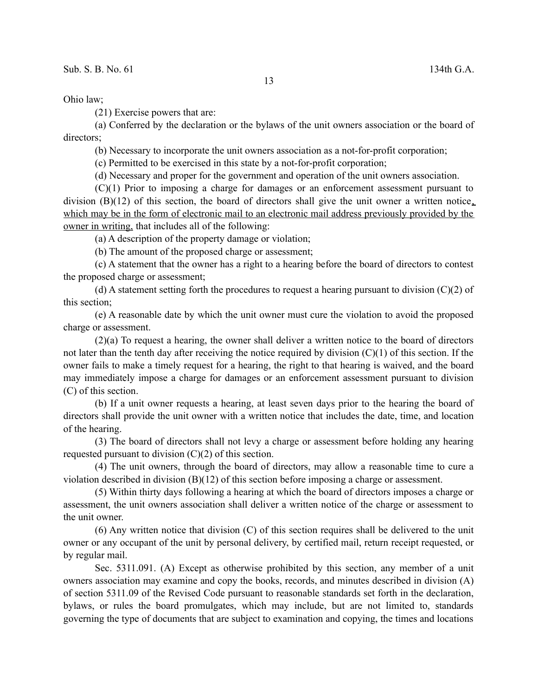Ohio law;

(21) Exercise powers that are:

(a) Conferred by the declaration or the bylaws of the unit owners association or the board of directors;

(b) Necessary to incorporate the unit owners association as a not-for-profit corporation;

(c) Permitted to be exercised in this state by a not-for-profit corporation;

(d) Necessary and proper for the government and operation of the unit owners association.

(C)(1) Prior to imposing a charge for damages or an enforcement assessment pursuant to division (B)(12) of this section, the board of directors shall give the unit owner a written notice, which may be in the form of electronic mail to an electronic mail address previously provided by the owner in writing, that includes all of the following:

(a) A description of the property damage or violation;

(b) The amount of the proposed charge or assessment;

(c) A statement that the owner has a right to a hearing before the board of directors to contest the proposed charge or assessment;

(d) A statement setting forth the procedures to request a hearing pursuant to division  $(C)(2)$  of this section;

(e) A reasonable date by which the unit owner must cure the violation to avoid the proposed charge or assessment.

(2)(a) To request a hearing, the owner shall deliver a written notice to the board of directors not later than the tenth day after receiving the notice required by division  $(C)(1)$  of this section. If the owner fails to make a timely request for a hearing, the right to that hearing is waived, and the board may immediately impose a charge for damages or an enforcement assessment pursuant to division (C) of this section.

(b) If a unit owner requests a hearing, at least seven days prior to the hearing the board of directors shall provide the unit owner with a written notice that includes the date, time, and location of the hearing.

(3) The board of directors shall not levy a charge or assessment before holding any hearing requested pursuant to division  $(C)(2)$  of this section.

(4) The unit owners, through the board of directors, may allow a reasonable time to cure a violation described in division (B)(12) of this section before imposing a charge or assessment.

(5) Within thirty days following a hearing at which the board of directors imposes a charge or assessment, the unit owners association shall deliver a written notice of the charge or assessment to the unit owner.

(6) Any written notice that division (C) of this section requires shall be delivered to the unit owner or any occupant of the unit by personal delivery, by certified mail, return receipt requested, or by regular mail.

Sec. 5311.091. (A) Except as otherwise prohibited by this section, any member of a unit owners association may examine and copy the books, records, and minutes described in division (A) of section 5311.09 of the Revised Code pursuant to reasonable standards set forth in the declaration, bylaws, or rules the board promulgates, which may include, but are not limited to, standards governing the type of documents that are subject to examination and copying, the times and locations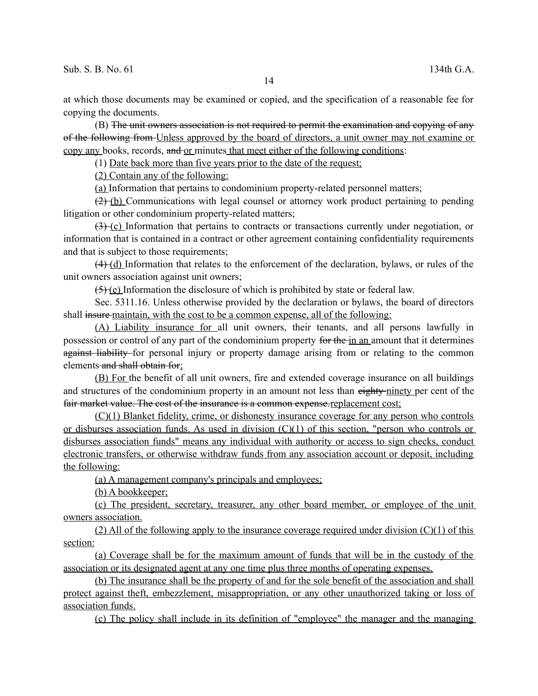at which those documents may be examined or copied, and the specification of a reasonable fee for copying the documents.

(B) The unit owners association is not required to permit the examination and copying of any of the following from Unless approved by the board of directors, a unit owner may not examine or copy any books, records, and or minutes that meet either of the following conditions:

(1) Date back more than five years prior to the date of the request;

(2) Contain any of the following:

(a) Information that pertains to condominium property-related personnel matters;

(2) (b) Communications with legal counsel or attorney work product pertaining to pending litigation or other condominium property-related matters;

(3) (c) Information that pertains to contracts or transactions currently under negotiation, or information that is contained in a contract or other agreement containing confidentiality requirements and that is subject to those requirements;

(4) (d) Information that relates to the enforcement of the declaration, bylaws, or rules of the unit owners association against unit owners;

(5) (e) Information the disclosure of which is prohibited by state or federal law.

Sec. 5311.16. Unless otherwise provided by the declaration or bylaws, the board of directors shall insure maintain, with the cost to be a common expense, all of the following:

(A) Liability insurance for all unit owners, their tenants, and all persons lawfully in possession or control of any part of the condominium property for the in an amount that it determines against liability for personal injury or property damage arising from or relating to the common elements and shall obtain for;

(B) For the benefit of all unit owners, fire and extended coverage insurance on all buildings and structures of the condominium property in an amount not less than eighty-ninety per cent of the fair market value. The cost of the insurance is a common expense replacement cost;

(C)(1) Blanket fidelity, crime, or dishonesty insurance coverage for any person who controls or disburses association funds. As used in division (C)(1) of this section, "person who controls or disburses association funds" means any individual with authority or access to sign checks, conduct electronic transfers, or otherwise withdraw funds from any association account or deposit, including the following:

(a) A management company's principals and employees;

(b) A bookkeeper;

(c) The president, secretary, treasurer, any other board member, or employee of the unit owners association.

(2) All of the following apply to the insurance coverage required under division  $(C)(1)$  of this section:

(a) Coverage shall be for the maximum amount of funds that will be in the custody of the association or its designated agent at any one time plus three months of operating expenses.

(b) The insurance shall be the property of and for the sole benefit of the association and shall protect against theft, embezzlement, misappropriation, or any other unauthorized taking or loss of association funds.

(c) The policy shall include in its definition of "employee" the manager and the managing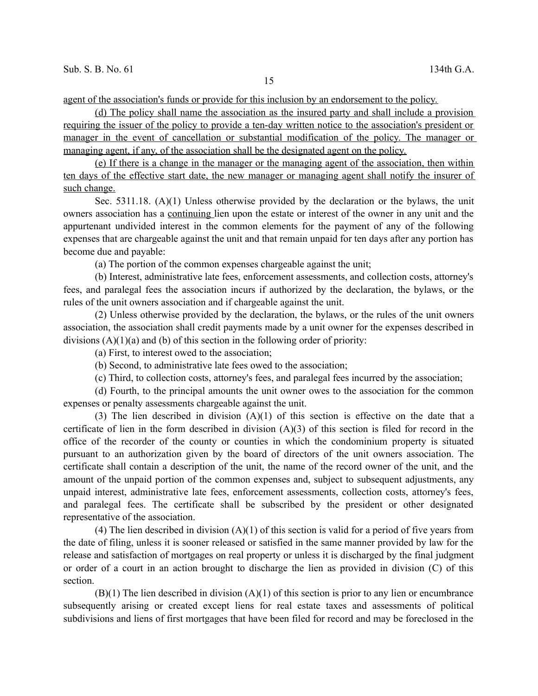agent of the association's funds or provide for this inclusion by an endorsement to the policy.

(d) The policy shall name the association as the insured party and shall include a provision requiring the issuer of the policy to provide a ten-day written notice to the association's president or manager in the event of cancellation or substantial modification of the policy. The manager or managing agent, if any, of the association shall be the designated agent on the policy.

(e) If there is a change in the manager or the managing agent of the association, then within ten days of the effective start date, the new manager or managing agent shall notify the insurer of such change.

Sec. 5311.18. (A)(1) Unless otherwise provided by the declaration or the bylaws, the unit owners association has a continuing lien upon the estate or interest of the owner in any unit and the appurtenant undivided interest in the common elements for the payment of any of the following expenses that are chargeable against the unit and that remain unpaid for ten days after any portion has become due and payable:

(a) The portion of the common expenses chargeable against the unit;

(b) Interest, administrative late fees, enforcement assessments, and collection costs, attorney's fees, and paralegal fees the association incurs if authorized by the declaration, the bylaws, or the rules of the unit owners association and if chargeable against the unit.

(2) Unless otherwise provided by the declaration, the bylaws, or the rules of the unit owners association, the association shall credit payments made by a unit owner for the expenses described in divisions  $(A)(1)(a)$  and  $(b)$  of this section in the following order of priority:

(a) First, to interest owed to the association;

(b) Second, to administrative late fees owed to the association;

(c) Third, to collection costs, attorney's fees, and paralegal fees incurred by the association;

(d) Fourth, to the principal amounts the unit owner owes to the association for the common expenses or penalty assessments chargeable against the unit.

(3) The lien described in division (A)(1) of this section is effective on the date that a certificate of lien in the form described in division (A)(3) of this section is filed for record in the office of the recorder of the county or counties in which the condominium property is situated pursuant to an authorization given by the board of directors of the unit owners association. The certificate shall contain a description of the unit, the name of the record owner of the unit, and the amount of the unpaid portion of the common expenses and, subject to subsequent adjustments, any unpaid interest, administrative late fees, enforcement assessments, collection costs, attorney's fees, and paralegal fees. The certificate shall be subscribed by the president or other designated representative of the association.

(4) The lien described in division  $(A)(1)$  of this section is valid for a period of five years from the date of filing, unless it is sooner released or satisfied in the same manner provided by law for the release and satisfaction of mortgages on real property or unless it is discharged by the final judgment or order of a court in an action brought to discharge the lien as provided in division (C) of this section.

 $(B)(1)$  The lien described in division  $(A)(1)$  of this section is prior to any lien or encumbrance subsequently arising or created except liens for real estate taxes and assessments of political subdivisions and liens of first mortgages that have been filed for record and may be foreclosed in the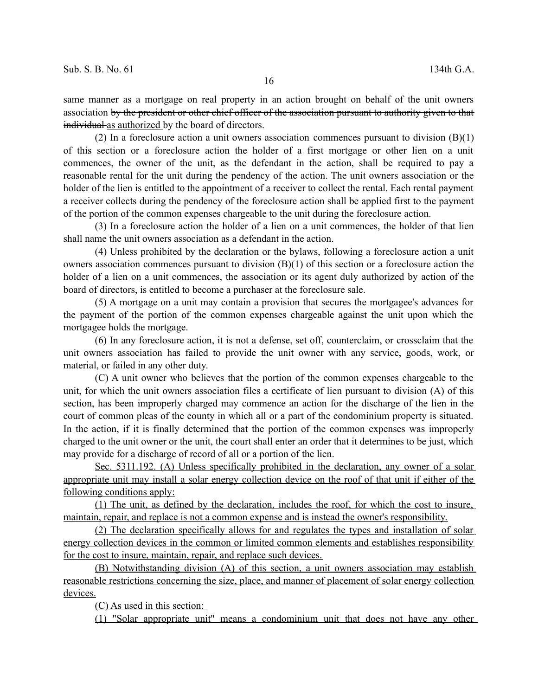same manner as a mortgage on real property in an action brought on behalf of the unit owners association by the president or other chief officer of the association pursuant to authority given to that individual as authorized by the board of directors.

(2) In a foreclosure action a unit owners association commences pursuant to division (B)(1) of this section or a foreclosure action the holder of a first mortgage or other lien on a unit commences, the owner of the unit, as the defendant in the action, shall be required to pay a reasonable rental for the unit during the pendency of the action. The unit owners association or the holder of the lien is entitled to the appointment of a receiver to collect the rental. Each rental payment a receiver collects during the pendency of the foreclosure action shall be applied first to the payment of the portion of the common expenses chargeable to the unit during the foreclosure action.

(3) In a foreclosure action the holder of a lien on a unit commences, the holder of that lien shall name the unit owners association as a defendant in the action.

(4) Unless prohibited by the declaration or the bylaws, following a foreclosure action a unit owners association commences pursuant to division (B)(1) of this section or a foreclosure action the holder of a lien on a unit commences, the association or its agent duly authorized by action of the board of directors, is entitled to become a purchaser at the foreclosure sale.

(5) A mortgage on a unit may contain a provision that secures the mortgagee's advances for the payment of the portion of the common expenses chargeable against the unit upon which the mortgagee holds the mortgage.

(6) In any foreclosure action, it is not a defense, set off, counterclaim, or crossclaim that the unit owners association has failed to provide the unit owner with any service, goods, work, or material, or failed in any other duty.

(C) A unit owner who believes that the portion of the common expenses chargeable to the unit, for which the unit owners association files a certificate of lien pursuant to division (A) of this section, has been improperly charged may commence an action for the discharge of the lien in the court of common pleas of the county in which all or a part of the condominium property is situated. In the action, if it is finally determined that the portion of the common expenses was improperly charged to the unit owner or the unit, the court shall enter an order that it determines to be just, which may provide for a discharge of record of all or a portion of the lien.

 Sec. 5311.192. (A) Unless specifically prohibited in the declaration, any owner of a solar appropriate unit may install a solar energy collection device on the roof of that unit if either of the following conditions apply:

(1) The unit, as defined by the declaration, includes the roof, for which the cost to insure, maintain, repair, and replace is not a common expense and is instead the owner's responsibility.

(2) The declaration specifically allows for and regulates the types and installation of solar energy collection devices in the common or limited common elements and establishes responsibility for the cost to insure, maintain, repair, and replace such devices.

(B) Notwithstanding division (A) of this section, a unit owners association may establish reasonable restrictions concerning the size, place, and manner of placement of solar energy collection devices.

(C) As used in this section:

(1) "Solar appropriate unit" means a condominium unit that does not have any other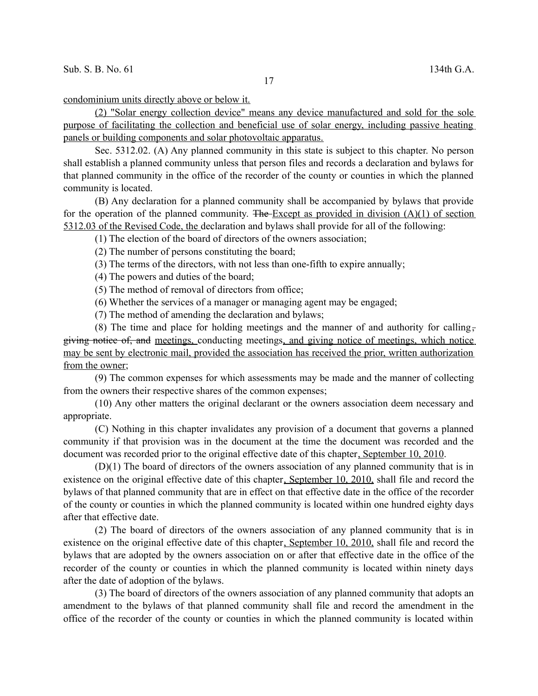condominium units directly above or below it.

(2) "Solar energy collection device" means any device manufactured and sold for the sole purpose of facilitating the collection and beneficial use of solar energy, including passive heating panels or building components and solar photovoltaic apparatus.

Sec. 5312.02. (A) Any planned community in this state is subject to this chapter. No person shall establish a planned community unless that person files and records a declaration and bylaws for that planned community in the office of the recorder of the county or counties in which the planned community is located.

(B) Any declaration for a planned community shall be accompanied by bylaws that provide for the operation of the planned community. The Except as provided in division  $(A)(1)$  of section 5312.03 of the Revised Code, the declaration and bylaws shall provide for all of the following:

(1) The election of the board of directors of the owners association;

(2) The number of persons constituting the board;

(3) The terms of the directors, with not less than one-fifth to expire annually;

(4) The powers and duties of the board;

(5) The method of removal of directors from office;

(6) Whether the services of a manager or managing agent may be engaged;

(7) The method of amending the declaration and bylaws;

(8) The time and place for holding meetings and the manner of and authority for calling, giving notice of, and meetings, conducting meetings, and giving notice of meetings, which notice may be sent by electronic mail, provided the association has received the prior, written authorization from the owner;

(9) The common expenses for which assessments may be made and the manner of collecting from the owners their respective shares of the common expenses;

(10) Any other matters the original declarant or the owners association deem necessary and appropriate.

(C) Nothing in this chapter invalidates any provision of a document that governs a planned community if that provision was in the document at the time the document was recorded and the document was recorded prior to the original effective date of this chapter, September 10, 2010.

(D)(1) The board of directors of the owners association of any planned community that is in existence on the original effective date of this chapter, September 10, 2010, shall file and record the bylaws of that planned community that are in effect on that effective date in the office of the recorder of the county or counties in which the planned community is located within one hundred eighty days after that effective date.

(2) The board of directors of the owners association of any planned community that is in existence on the original effective date of this chapter, September 10, 2010, shall file and record the bylaws that are adopted by the owners association on or after that effective date in the office of the recorder of the county or counties in which the planned community is located within ninety days after the date of adoption of the bylaws.

(3) The board of directors of the owners association of any planned community that adopts an amendment to the bylaws of that planned community shall file and record the amendment in the office of the recorder of the county or counties in which the planned community is located within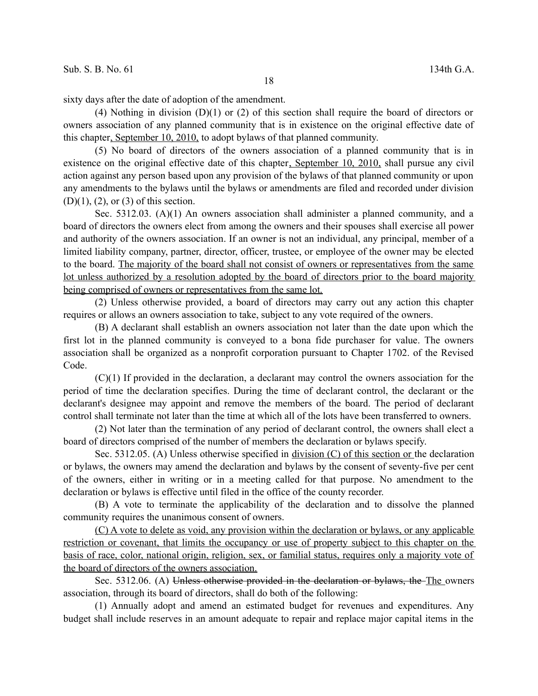sixty days after the date of adoption of the amendment.

(4) Nothing in division (D)(1) or (2) of this section shall require the board of directors or owners association of any planned community that is in existence on the original effective date of this chapter, September 10, 2010, to adopt bylaws of that planned community.

(5) No board of directors of the owners association of a planned community that is in existence on the original effective date of this chapter, September 10, 2010, shall pursue any civil action against any person based upon any provision of the bylaws of that planned community or upon any amendments to the bylaws until the bylaws or amendments are filed and recorded under division (D)(1), (2), or (3) of this section.

Sec. 5312.03. (A)(1) An owners association shall administer a planned community, and a board of directors the owners elect from among the owners and their spouses shall exercise all power and authority of the owners association. If an owner is not an individual, any principal, member of a limited liability company, partner, director, officer, trustee, or employee of the owner may be elected to the board. The majority of the board shall not consist of owners or representatives from the same lot unless authorized by a resolution adopted by the board of directors prior to the board majority being comprised of owners or representatives from the same lot.

(2) Unless otherwise provided, a board of directors may carry out any action this chapter requires or allows an owners association to take, subject to any vote required of the owners.

(B) A declarant shall establish an owners association not later than the date upon which the first lot in the planned community is conveyed to a bona fide purchaser for value. The owners association shall be organized as a nonprofit corporation pursuant to Chapter 1702. of the Revised Code.

(C)(1) If provided in the declaration, a declarant may control the owners association for the period of time the declaration specifies. During the time of declarant control, the declarant or the declarant's designee may appoint and remove the members of the board. The period of declarant control shall terminate not later than the time at which all of the lots have been transferred to owners.

(2) Not later than the termination of any period of declarant control, the owners shall elect a board of directors comprised of the number of members the declaration or bylaws specify.

Sec. 5312.05. (A) Unless otherwise specified in division (C) of this section or the declaration or bylaws, the owners may amend the declaration and bylaws by the consent of seventy-five per cent of the owners, either in writing or in a meeting called for that purpose. No amendment to the declaration or bylaws is effective until filed in the office of the county recorder.

(B) A vote to terminate the applicability of the declaration and to dissolve the planned community requires the unanimous consent of owners.

(C) A vote to delete as void, any provision within the declaration or bylaws, or any applicable restriction or covenant, that limits the occupancy or use of property subject to this chapter on the basis of race, color, national origin, religion, sex, or familial status, requires only a majority vote of the board of directors of the owners association.

Sec. 5312.06. (A) Unless otherwise provided in the declaration or bylaws, the The owners association, through its board of directors, shall do both of the following:

(1) Annually adopt and amend an estimated budget for revenues and expenditures. Any budget shall include reserves in an amount adequate to repair and replace major capital items in the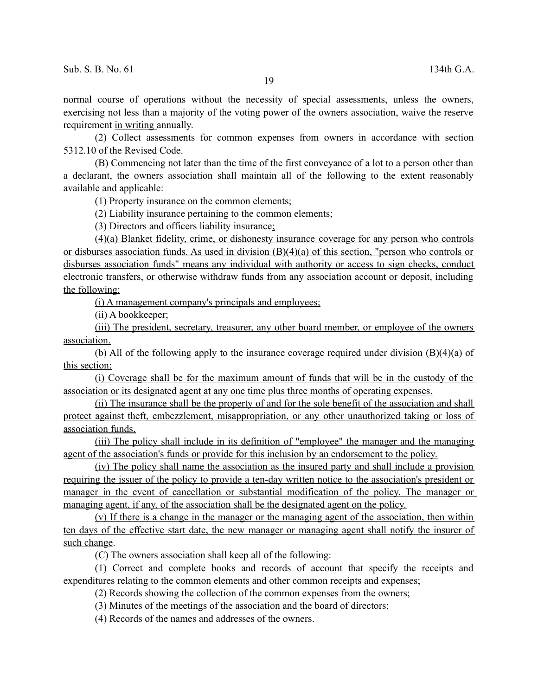normal course of operations without the necessity of special assessments, unless the owners, exercising not less than a majority of the voting power of the owners association, waive the reserve requirement in writing annually.

(2) Collect assessments for common expenses from owners in accordance with section 5312.10 of the Revised Code.

(B) Commencing not later than the time of the first conveyance of a lot to a person other than a declarant, the owners association shall maintain all of the following to the extent reasonably available and applicable:

(1) Property insurance on the common elements;

(2) Liability insurance pertaining to the common elements;

(3) Directors and officers liability insurance;

 (4)(a) Blanket fidelity, crime, or dishonesty insurance coverage for any person who controls or disburses association funds. As used in division (B)(4)(a) of this section, "person who controls or disburses association funds" means any individual with authority or access to sign checks, conduct electronic transfers, or otherwise withdraw funds from any association account or deposit, including the following:

(i) A management company's principals and employees;

(ii) A bookkeeper;

(iii) The president, secretary, treasurer, any other board member, or employee of the owners association.

(b) All of the following apply to the insurance coverage required under division  $(B)(4)(a)$  of this section:

(i) Coverage shall be for the maximum amount of funds that will be in the custody of the association or its designated agent at any one time plus three months of operating expenses.

(ii) The insurance shall be the property of and for the sole benefit of the association and shall protect against theft, embezzlement, misappropriation, or any other unauthorized taking or loss of association funds.

(iii) The policy shall include in its definition of "employee" the manager and the managing agent of the association's funds or provide for this inclusion by an endorsement to the policy.

(iv) The policy shall name the association as the insured party and shall include a provision requiring the issuer of the policy to provide a ten-day written notice to the association's president or manager in the event of cancellation or substantial modification of the policy. The manager or managing agent, if any, of the association shall be the designated agent on the policy.

(v) If there is a change in the manager or the managing agent of the association, then within ten days of the effective start date, the new manager or managing agent shall notify the insurer of such change.

(C) The owners association shall keep all of the following:

(1) Correct and complete books and records of account that specify the receipts and expenditures relating to the common elements and other common receipts and expenses;

(2) Records showing the collection of the common expenses from the owners;

(3) Minutes of the meetings of the association and the board of directors;

(4) Records of the names and addresses of the owners.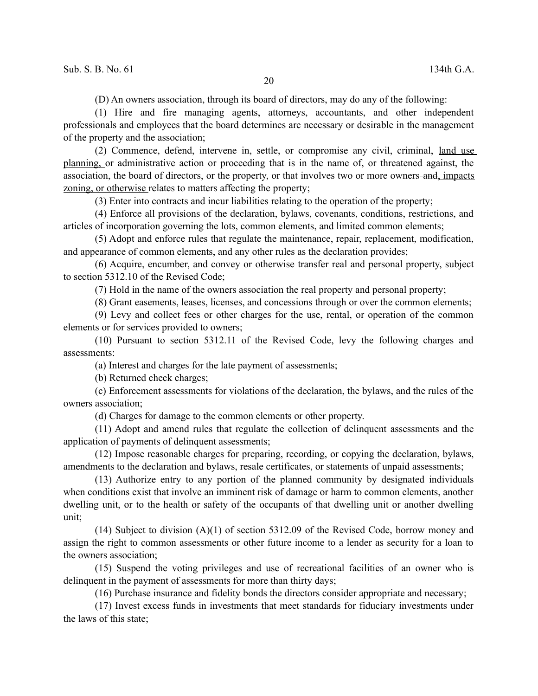(D) An owners association, through its board of directors, may do any of the following:

(1) Hire and fire managing agents, attorneys, accountants, and other independent professionals and employees that the board determines are necessary or desirable in the management of the property and the association;

(2) Commence, defend, intervene in, settle, or compromise any civil, criminal, land use planning, or administrative action or proceeding that is in the name of, or threatened against, the association, the board of directors, or the property, or that involves two or more owners and, impacts zoning, or otherwise relates to matters affecting the property;

(3) Enter into contracts and incur liabilities relating to the operation of the property;

(4) Enforce all provisions of the declaration, bylaws, covenants, conditions, restrictions, and articles of incorporation governing the lots, common elements, and limited common elements;

(5) Adopt and enforce rules that regulate the maintenance, repair, replacement, modification, and appearance of common elements, and any other rules as the declaration provides;

(6) Acquire, encumber, and convey or otherwise transfer real and personal property, subject to section 5312.10 of the Revised Code;

(7) Hold in the name of the owners association the real property and personal property;

(8) Grant easements, leases, licenses, and concessions through or over the common elements;

(9) Levy and collect fees or other charges for the use, rental, or operation of the common elements or for services provided to owners;

(10) Pursuant to section 5312.11 of the Revised Code, levy the following charges and assessments:

(a) Interest and charges for the late payment of assessments;

(b) Returned check charges;

(c) Enforcement assessments for violations of the declaration, the bylaws, and the rules of the owners association;

(d) Charges for damage to the common elements or other property.

(11) Adopt and amend rules that regulate the collection of delinquent assessments and the application of payments of delinquent assessments;

(12) Impose reasonable charges for preparing, recording, or copying the declaration, bylaws, amendments to the declaration and bylaws, resale certificates, or statements of unpaid assessments;

(13) Authorize entry to any portion of the planned community by designated individuals when conditions exist that involve an imminent risk of damage or harm to common elements, another dwelling unit, or to the health or safety of the occupants of that dwelling unit or another dwelling unit;

(14) Subject to division (A)(1) of section 5312.09 of the Revised Code, borrow money and assign the right to common assessments or other future income to a lender as security for a loan to the owners association;

(15) Suspend the voting privileges and use of recreational facilities of an owner who is delinquent in the payment of assessments for more than thirty days;

(16) Purchase insurance and fidelity bonds the directors consider appropriate and necessary;

(17) Invest excess funds in investments that meet standards for fiduciary investments under the laws of this state;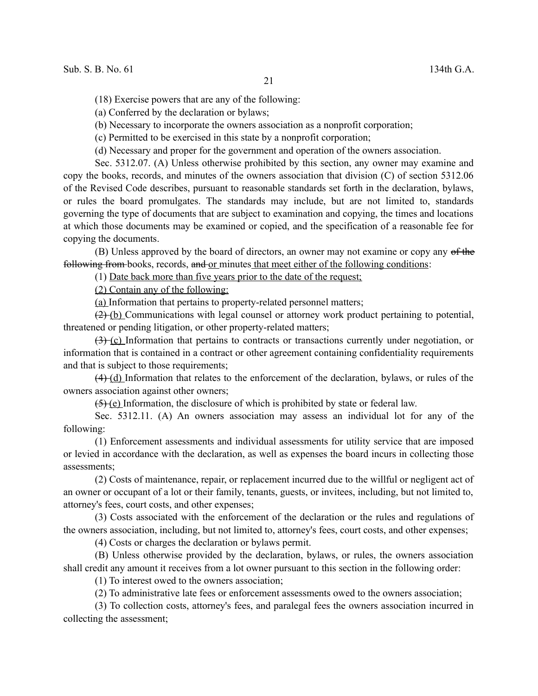(18) Exercise powers that are any of the following:

(a) Conferred by the declaration or bylaws;

(b) Necessary to incorporate the owners association as a nonprofit corporation;

(c) Permitted to be exercised in this state by a nonprofit corporation;

(d) Necessary and proper for the government and operation of the owners association.

Sec. 5312.07. (A) Unless otherwise prohibited by this section, any owner may examine and copy the books, records, and minutes of the owners association that division (C) of section 5312.06 of the Revised Code describes, pursuant to reasonable standards set forth in the declaration, bylaws, or rules the board promulgates. The standards may include, but are not limited to, standards governing the type of documents that are subject to examination and copying, the times and locations at which those documents may be examined or copied, and the specification of a reasonable fee for copying the documents.

(B) Unless approved by the board of directors, an owner may not examine or copy any of the following from books, records, and or minutes that meet either of the following conditions:

(1) Date back more than five years prior to the date of the request;

(2) Contain any of the following:

(a) Information that pertains to property-related personnel matters;

(2) (b) Communications with legal counsel or attorney work product pertaining to potential, threatened or pending litigation, or other property-related matters;

(3) (c) Information that pertains to contracts or transactions currently under negotiation, or information that is contained in a contract or other agreement containing confidentiality requirements and that is subject to those requirements;

(4) (d) Information that relates to the enforcement of the declaration, bylaws, or rules of the owners association against other owners;

 $(5)$  (e) Information, the disclosure of which is prohibited by state or federal law.

Sec. 5312.11. (A) An owners association may assess an individual lot for any of the following:

(1) Enforcement assessments and individual assessments for utility service that are imposed or levied in accordance with the declaration, as well as expenses the board incurs in collecting those assessments;

(2) Costs of maintenance, repair, or replacement incurred due to the willful or negligent act of an owner or occupant of a lot or their family, tenants, guests, or invitees, including, but not limited to, attorney's fees, court costs, and other expenses;

(3) Costs associated with the enforcement of the declaration or the rules and regulations of the owners association, including, but not limited to, attorney's fees, court costs, and other expenses;

(4) Costs or charges the declaration or bylaws permit.

(B) Unless otherwise provided by the declaration, bylaws, or rules, the owners association shall credit any amount it receives from a lot owner pursuant to this section in the following order:

(1) To interest owed to the owners association;

(2) To administrative late fees or enforcement assessments owed to the owners association;

(3) To collection costs, attorney's fees, and paralegal fees the owners association incurred in collecting the assessment;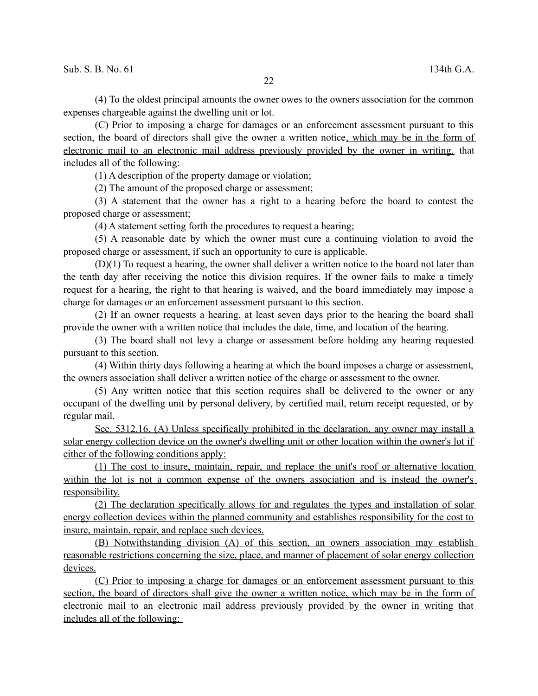(4) To the oldest principal amounts the owner owes to the owners association for the common expenses chargeable against the dwelling unit or lot.

(C) Prior to imposing a charge for damages or an enforcement assessment pursuant to this section, the board of directors shall give the owner a written notice, which may be in the form of electronic mail to an electronic mail address previously provided by the owner in writing, that includes all of the following:

(1) A description of the property damage or violation;

(2) The amount of the proposed charge or assessment;

(3) A statement that the owner has a right to a hearing before the board to contest the proposed charge or assessment;

(4) A statement setting forth the procedures to request a hearing;

(5) A reasonable date by which the owner must cure a continuing violation to avoid the proposed charge or assessment, if such an opportunity to cure is applicable.

(D)(1) To request a hearing, the owner shall deliver a written notice to the board not later than the tenth day after receiving the notice this division requires. If the owner fails to make a timely request for a hearing, the right to that hearing is waived, and the board immediately may impose a charge for damages or an enforcement assessment pursuant to this section.

(2) If an owner requests a hearing, at least seven days prior to the hearing the board shall provide the owner with a written notice that includes the date, time, and location of the hearing.

(3) The board shall not levy a charge or assessment before holding any hearing requested pursuant to this section.

(4) Within thirty days following a hearing at which the board imposes a charge or assessment, the owners association shall deliver a written notice of the charge or assessment to the owner.

(5) Any written notice that this section requires shall be delivered to the owner or any occupant of the dwelling unit by personal delivery, by certified mail, return receipt requested, or by regular mail.

Sec. 5312.16. (A) Unless specifically prohibited in the declaration, any owner may install a solar energy collection device on the owner's dwelling unit or other location within the owner's lot if either of the following conditions apply:

(1) The cost to insure, maintain, repair, and replace the unit's roof or alternative location within the lot is not a common expense of the owners association and is instead the owner's responsibility.

 (2) The declaration specifically allows for and regulates the types and installation of solar energy collection devices within the planned community and establishes responsibility for the cost to insure, maintain, repair, and replace such devices.

(B) Notwithstanding division (A) of this section, an owners association may establish reasonable restrictions concerning the size, place, and manner of placement of solar energy collection devices.

(C) Prior to imposing a charge for damages or an enforcement assessment pursuant to this section, the board of directors shall give the owner a written notice, which may be in the form of electronic mail to an electronic mail address previously provided by the owner in writing that includes all of the following: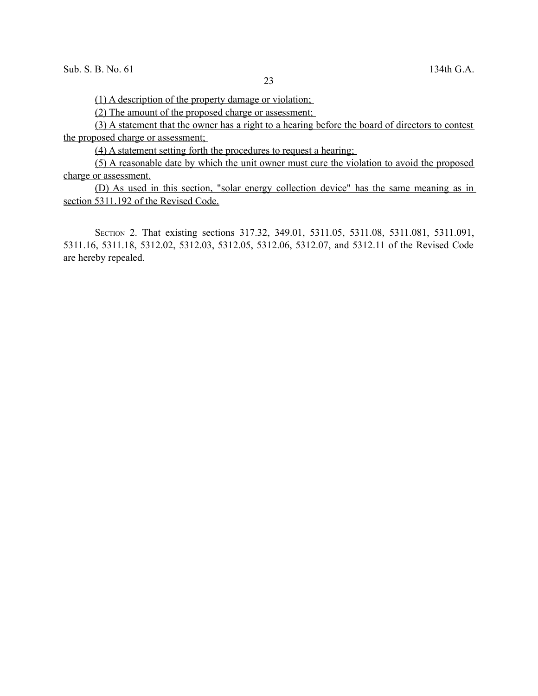(1) A description of the property damage or violation;

(2) The amount of the proposed charge or assessment;

(3) A statement that the owner has a right to a hearing before the board of directors to contest the proposed charge or assessment;

(4) A statement setting forth the procedures to request a hearing;

(5) A reasonable date by which the unit owner must cure the violation to avoid the proposed charge or assessment.

(D) As used in this section, "solar energy collection device" has the same meaning as in section 5311.192 of the Revised Code.

SECTION 2. That existing sections 317.32, 349.01, 5311.05, 5311.08, 5311.081, 5311.091, 5311.16, 5311.18, 5312.02, 5312.03, 5312.05, 5312.06, 5312.07, and 5312.11 of the Revised Code are hereby repealed.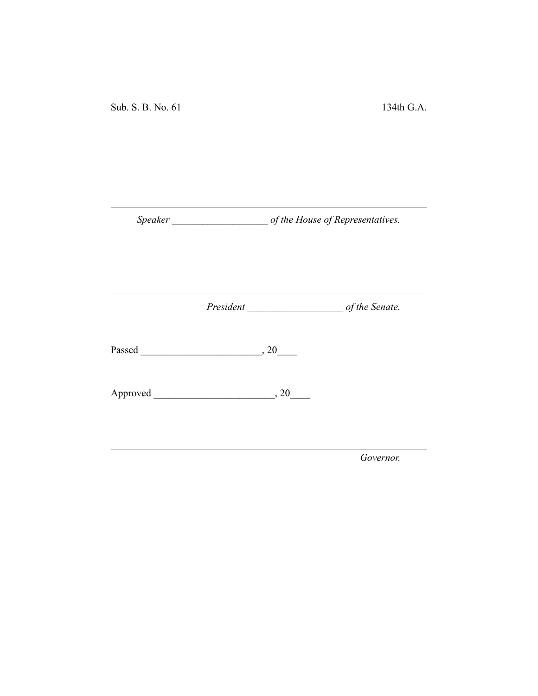Sub. S. B. No. 61 134th G.A.

*Speaker \_\_\_\_\_\_\_\_\_\_\_\_\_\_\_\_\_\_\_ of the House of Representatives.*

*President \_\_\_\_\_\_\_\_\_\_\_\_\_\_\_\_\_\_\_ of the Senate.*

Passed \_\_\_\_\_\_\_\_\_\_\_\_\_\_\_\_\_\_\_\_\_\_\_\_, 20\_\_\_\_

Approved \_\_\_\_\_\_\_\_\_\_\_\_\_\_\_\_\_\_\_\_\_\_\_\_, 20\_\_\_\_

*Governor.*